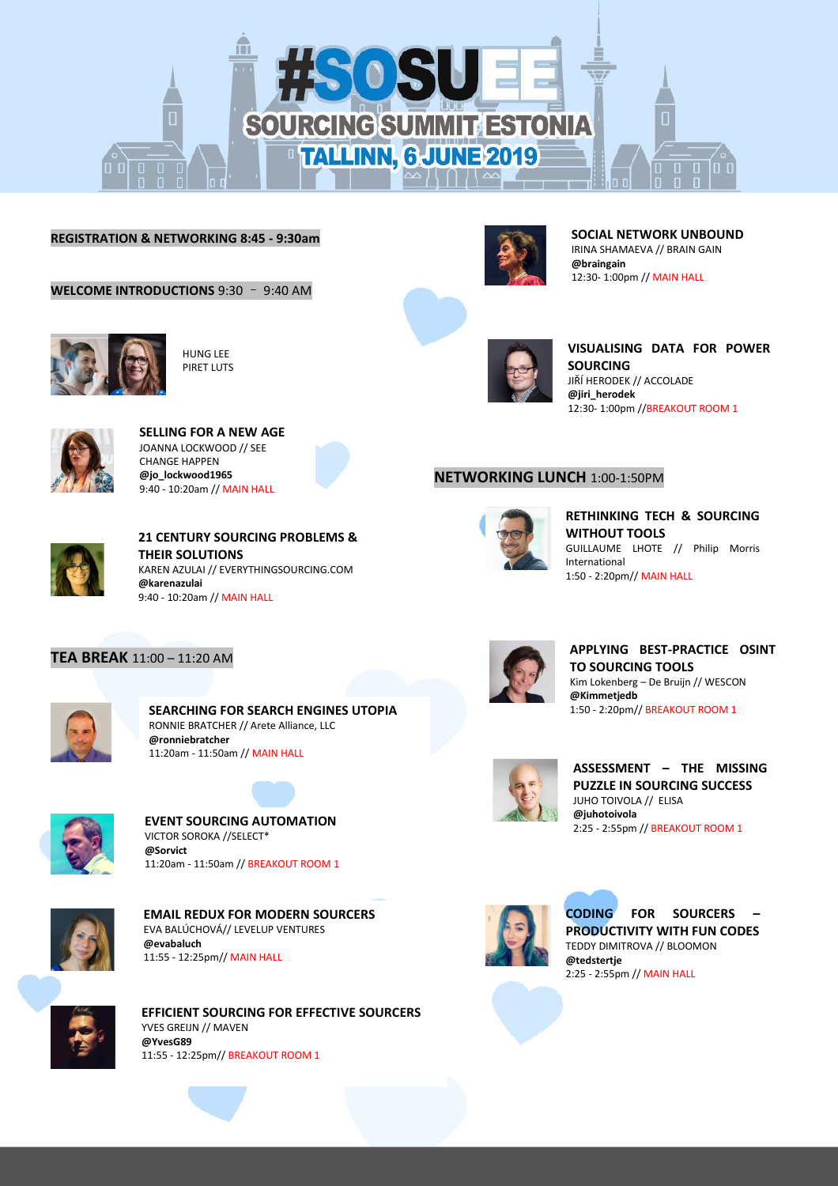

## **REGISTRATION & NETWORKING 8:45 - 9:30am**

**WELCOME INTRODUCTIONS** 9:30 – 9:40 AM



 $\overline{\phantom{a}}$ 

HUNG LEE PIRET LUTS

**SELLING FOR A NEW AGE** JOANNA LOCKWOOD // SEE CHANGE HAPPEN **@jo\_lockwood1965** 9:40 - 10:20am // MAIN HALL

**THEIR SOLUTIONS**

9:40 - 10:20am // MAIN HALL

**@karenazulai**

**21 CENTURY SOURCING PROBLEMS &** 

KAREN AZULAI // EVERYTHINGSOURCING.COM



**SOCIAL NETWORK UNBOUND** IRINA SHAMAEVA // BRAIN GAIN **@braingain** 12:30- 1:00pm // MAIN HALL



**VISUALISING DATA FOR POWER SOURCING** JIŘÍ HERODEK // ACCOLADE **@jiri\_herodek** 12:30- 1:00pm //BREAKOUT ROOM 1

## **NETWORKING LUNCH** 1:00-1:50PM



**RETHINKING TECH & SOURCING WITHOUT TOOLS** GUILLAUME LHOTE // Philip Morris International 1:50 - 2:20pm// MAIN HALL

# **TEA BREAK** 11:00 – 11:20 AM



l.

**SEARCHING FOR SEARCH ENGINES UTOPIA** RONNIE BRATCHER // Arete Alliance, LLC **@ronniebratcher** 11:20am - 11:50am // MAIN HALL



**EVENT SOURCING AUTOMATION** VICTOR SOROKA //SELECT\* **@Sorvict** 11:20am - 11:50am // BREAKOUT ROOM 1



**EMAIL REDUX FOR MODERN SOURCERS** EVA BALÚCHOVÁ// LEVELUP VENTURES **@evabaluch** 11:55 - 12:25pm// MAIN HALL



**EFFICIENT SOURCING FOR EFFECTIVE SOURCERS** YVES GREIJN // MAVEN **@YvesG89** 11:55 - 12:25pm// BREAKOUT ROOM 1



**APPLYING BEST-PRACTICE OSINT TO SOURCING TOOLS** Kim Lokenberg – De Bruijn // WESCON **@Kimmetjedb** 1:50 - 2:20pm// BREAKOUT ROOM 1



**ASSESSMENT – THE MISSING PUZZLE IN SOURCING SUCCESS** JUHO TOIVOLA // ELISA **@juhotoivola** 2:25 - 2:55pm // BREAKOUT ROOM 1



**CODING FOR SOURCERS – PRODUCTIVITY WITH FUN CODES** TEDDY DIMITROVA // BLOOMON **@tedstertje** 2:25 - 2:55pm // MAIN HALL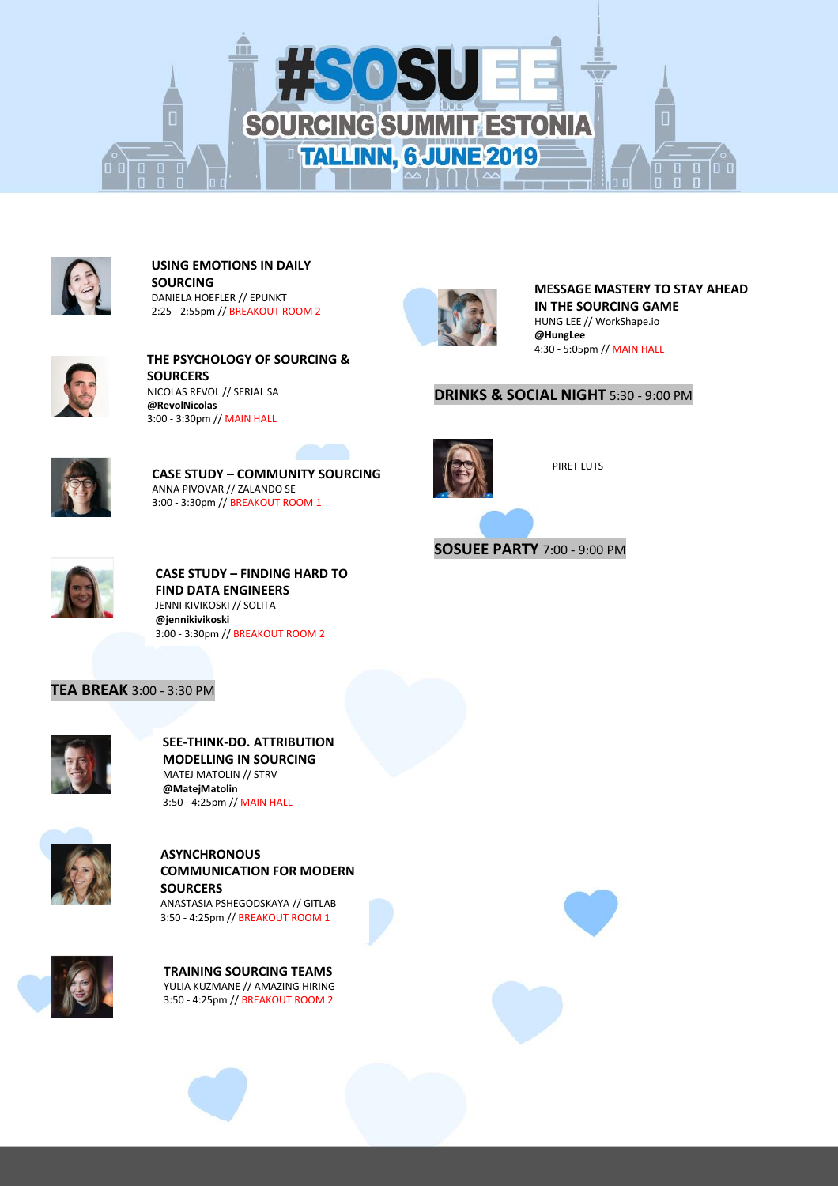



#### **USING EMOTIONS IN DAILY SOURCING** DANIELA HOEFLER // EPUNKT 2:25 - 2:55pm // BREAKOUT ROOM 2



**THE PSYCHOLOGY OF SOURCING & SOURCERS** NICOLAS REVOL // SERIAL SA **@RevolNicolas** 3:00 - 3:30pm // MAIN HALL



**CASE STUDY – COMMUNITY SOURCING** ANNA PIVOVAR // ZALANDO SE 3:00 - 3:30pm // BREAKOUT ROOM 1



**MESSAGE MASTERY TO STAY AHEAD IN THE SOURCING GAME** HUNG LEE // WorkShape.io **@HungLee** 4:30 - 5:05pm // MAIN HALL

## **DRINKS & SOCIAL NIGHT** 5:30 - 9:00 PM



PIRET LUTS

**SOSUEE PARTY** 7:00 - 9:00 PM



**CASE STUDY – FINDING HARD TO FIND DATA ENGINEERS** JENNI KIVIKOSKI // SOLITA **@jennikivikoski** 3:00 - 3:30pm // BREAKOUT ROOM 2

# **TEA BREAK** 3:00 - 3:30 PM



**SEE-THINK-DO. ATTRIBUTION MODELLING IN SOURCING** MATEJ MATOLIN // STRV **@MatejMatolin** 3:50 - 4:25pm // MAIN HALL



# **ASYNCHRONOUS COMMUNICATION FOR MODERN SOURCERS**

ANASTASIA PSHEGODSKAYA // GITLAB 3:50 - 4:25pm // BREAKOUT ROOM 1



**TRAINING SOURCING TEAMS** YULIA KUZMANE // AMAZING HIRING 3:50 - 4:25pm // BREAKOUT ROOM 2